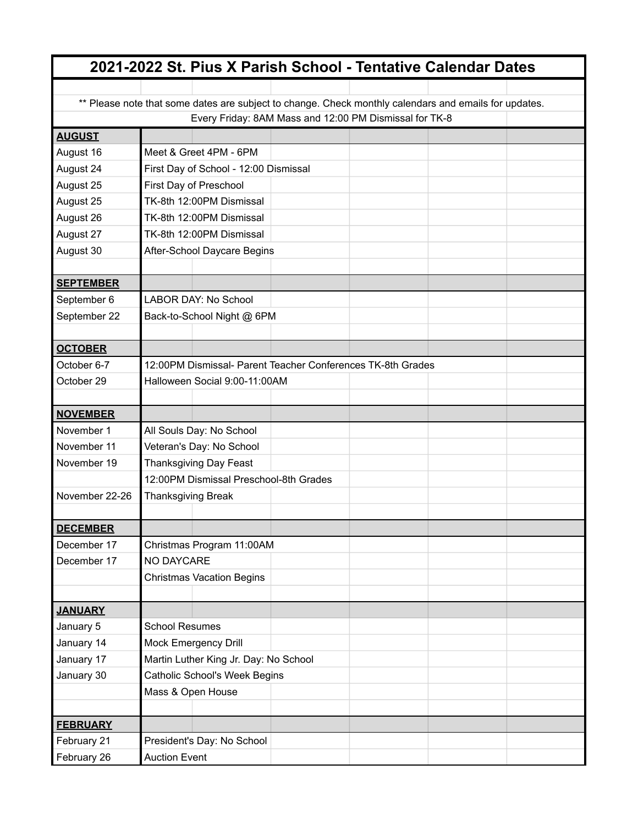|                                                                                                       |                                                             | 2021-2022 St. Pius X Parish School - Tentative Calendar Dates |
|-------------------------------------------------------------------------------------------------------|-------------------------------------------------------------|---------------------------------------------------------------|
|                                                                                                       |                                                             |                                                               |
| ** Please note that some dates are subject to change. Check monthly calendars and emails for updates. |                                                             |                                                               |
|                                                                                                       |                                                             | Every Friday: 8AM Mass and 12:00 PM Dismissal for TK-8        |
| <b>AUGUST</b>                                                                                         |                                                             |                                                               |
| August 16                                                                                             | Meet & Greet 4PM - 6PM                                      |                                                               |
| August 24                                                                                             | First Day of School - 12:00 Dismissal                       |                                                               |
| August 25                                                                                             | First Day of Preschool                                      |                                                               |
| August 25                                                                                             | TK-8th 12:00PM Dismissal                                    |                                                               |
| August 26                                                                                             | TK-8th 12:00PM Dismissal                                    |                                                               |
| August 27                                                                                             | TK-8th 12:00PM Dismissal                                    |                                                               |
| August 30                                                                                             | After-School Daycare Begins                                 |                                                               |
| <b>SEPTEMBER</b>                                                                                      |                                                             |                                                               |
| September 6                                                                                           | <b>LABOR DAY: No School</b>                                 |                                                               |
| September 22                                                                                          | Back-to-School Night @ 6PM                                  |                                                               |
|                                                                                                       |                                                             |                                                               |
| <b>OCTOBER</b>                                                                                        |                                                             |                                                               |
| October 6-7                                                                                           | 12:00PM Dismissal- Parent Teacher Conferences TK-8th Grades |                                                               |
| October 29                                                                                            | Halloween Social 9:00-11:00AM                               |                                                               |
|                                                                                                       |                                                             |                                                               |
| <b>NOVEMBER</b>                                                                                       |                                                             |                                                               |
| November 1                                                                                            | All Souls Day: No School                                    |                                                               |
| November 11                                                                                           | Veteran's Day: No School                                    |                                                               |
| November 19                                                                                           | <b>Thanksgiving Day Feast</b>                               |                                                               |
|                                                                                                       | 12:00PM Dismissal Preschool-8th Grades                      |                                                               |
| November 22-26                                                                                        | Thanksgiving Break                                          |                                                               |
|                                                                                                       |                                                             |                                                               |
| <b>DECEMBER</b>                                                                                       |                                                             |                                                               |
| December 17                                                                                           | Christmas Program 11:00AM                                   |                                                               |
| December 17                                                                                           | NO DAYCARE                                                  |                                                               |
|                                                                                                       | <b>Christmas Vacation Begins</b>                            |                                                               |
|                                                                                                       |                                                             |                                                               |
| <b>JANUARY</b>                                                                                        |                                                             |                                                               |
| January 5                                                                                             | <b>School Resumes</b>                                       |                                                               |
| January 14                                                                                            | <b>Mock Emergency Drill</b>                                 |                                                               |
| January 17                                                                                            | Martin Luther King Jr. Day: No School                       |                                                               |
| January 30                                                                                            | Catholic School's Week Begins                               |                                                               |
|                                                                                                       | Mass & Open House                                           |                                                               |
|                                                                                                       |                                                             |                                                               |
| <b>FEBRUARY</b>                                                                                       |                                                             |                                                               |
| February 21                                                                                           | President's Day: No School                                  |                                                               |
| February 26                                                                                           | <b>Auction Event</b>                                        |                                                               |